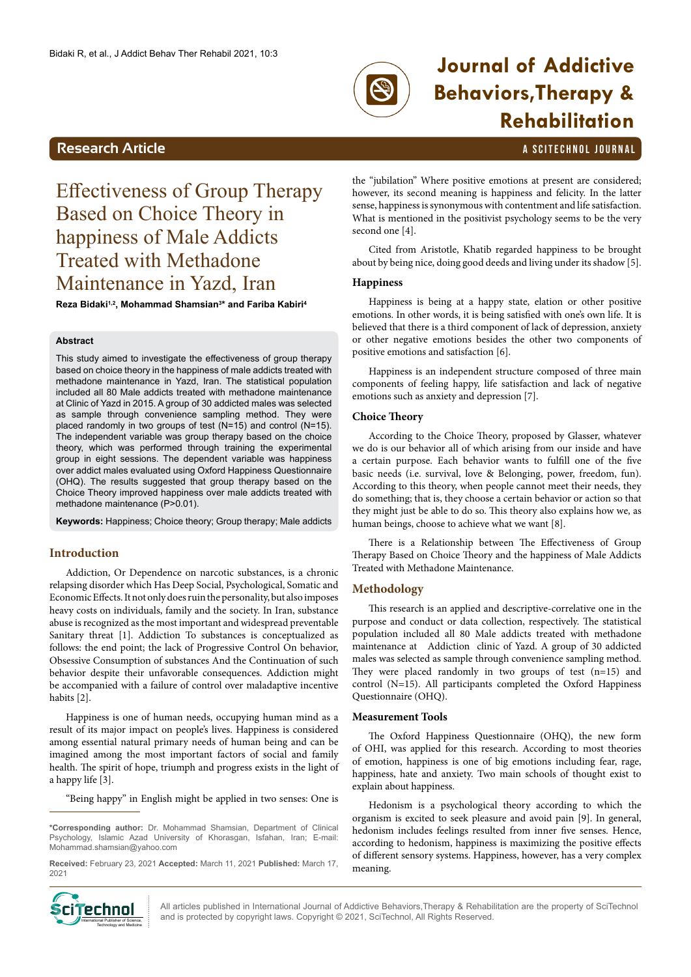

# **Journal of Addictive Behaviors,Therapy & Rehabilitation**

# **Research Article And Article All And Article <b>All Article** A SCITECHNOL JOURNAL

# <span id="page-0-0"></span>Effectiveness of Group Therapy Based on Choice Theory in happiness of Male Addicts Treated with Methadone Maintenance in Yazd, Iran

**Reza Bidaki1,2, Mohammad Shamsian3 \* and Fariba Kabiri4**

#### **Abstract**

This study aimed to investigate the effectiveness of group therapy based on choice theory in the happiness of male addicts treated with methadone maintenance in Yazd, Iran. The statistical population included all 80 Male addicts treated with methadone maintenance at Clinic of Yazd in 2015. A group of 30 addicted males was selected as sample through convenience sampling method. They were placed randomly in two groups of test (N=15) and control (N=15). The independent variable was group therapy based on the choice theory, which was performed through training the experimental group in eight sessions. The dependent variable was happiness over addict males evaluated using Oxford Happiness Questionnaire (OHQ). The results suggested that group therapy based on the Choice Theory improved happiness over male addicts treated with methadone maintenance (P>0.01).

**Keywords:** Happiness; Choice theory; Group therapy; Male addicts

# **Introduction**

Addiction, Or Dependence on narcotic substances, is a chronic relapsing disorder which Has Deep Social, Psychological, Somatic and Economic Effects. It not only does ruin the personality, but also imposes heavy costs on individuals, family and the society. In Iran, substance abuse is recognized as the most important and widespread preventable Sanitary threat [1]. Addiction To substances is conceptualized as follows: the end point; the lack of Progressive Control On behavior, Obsessive Consumption of substances And the Continuation of such behavior despite their unfavorable consequences. Addiction might be accompanied with a failure of control over maladaptive incentive habits [2].

Happiness is one of human needs, occupying human mind as a result of its major impact on people's lives. Happiness is considered among essential natural primary needs of human being and can be imagined among the most important factors of social and family health. The spirit of hope, triumph and progress exists in the light of a happy life [3].

"Being happy" in English might be applied in two senses: One is

**\*Corresponding author:** Dr. Mohammad Shamsian, Department of Clinical Psychology, Islamic Azad University of Khorasgan, Isfahan, Iran; E-mail: [Mohammad.shamsian@yahoo.com](mailto:Mohammad.shamsian@yahoo.com)

**Received:** February 23, 2021 **Accepted:** March 11, 2021 **Published:** March 17, 2021



the "jubilation" Where positive emotions at present are considered; however, its second meaning is happiness and felicity. In the latter sense, happiness is synonymous with contentment and life satisfaction. What is mentioned in the positivist psychology seems to be the very second one [4].

Cited from Aristotle, Khatib regarded happiness to be brought about by being nice, doing good deeds and living under its shadow [5].

#### **Happiness**

Happiness is being at a happy state, elation or other positive emotions. In other words, it is being satisfied with one's own life. It is believed that there is a third component of lack of depression, anxiety or other negative emotions besides the other two components of positive emotions and satisfaction [6].

Happiness is an independent structure composed of three main components of feeling happy, life satisfaction and lack of negative emotions such as anxiety and depression [7].

#### **Choice Theory**

According to the Choice Theory, proposed by Glasser, whatever we do is our behavior all of which arising from our inside and have a certain purpose. Each behavior wants to fulfill one of the five basic needs (i.e. survival, love & Belonging, power, freedom, fun). According to this theory, when people cannot meet their needs, they do something; that is, they choose a certain behavior or action so that they might just be able to do so. This theory also explains how we, as human beings, choose to achieve what we want [8].

There is a Relationship between The Effectiveness of Group Therapy Based on Choice Theory and the happiness of Male Addicts Treated with Methadone Maintenance.

### **Methodology**

This research is an applied and descriptive-correlative one in the purpose and conduct or data collection, respectively. The statistical population included all 80 Male addicts treated with methadone maintenance at Addiction clinic of Yazd. A group of 30 addicted males was selected as sample through convenience sampling method. They were placed randomly in two groups of test (n=15) and control (N=15). All participants completed the Oxford Happiness Questionnaire (OHQ).

#### **Measurement Tools**

The Oxford Happiness Questionnaire (OHQ), the new form of OHI, was applied for this research. According to most theories of emotion, happiness is one of big emotions including fear, rage, happiness, hate and anxiety. Two main schools of thought exist to explain about happiness.

Hedonism is a psychological theory according to which the organism is excited to seek pleasure and avoid pain [9]. In general, hedonism includes feelings resulted from inner five senses. Hence, according to hedonism, happiness is maximizing the positive effects of different sensory systems. Happiness, however, has a very complex meaning.

All articles published in International Journal of Addictive Behaviors,Therapy & Rehabilitation are the property of SciTechnol **CITECHING A**ll articles published in International Journal of Addictive Behaviors,Therapy & Rehabil **International Publisher of Science,** and is protected by copyright laws. Copyright © 2021, SciTechnol, All Rights Reserv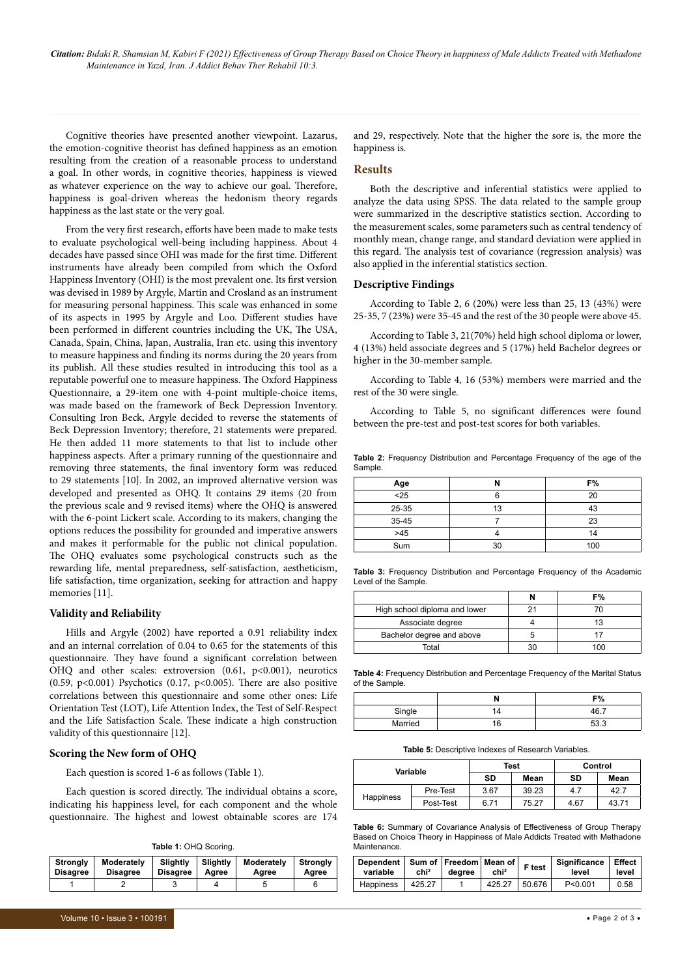*Citation: Bidaki R, Shamsian M, Kabiri F (2021) Effectiveness of Group Therapy Based on Choice Theory in happiness of Male Addicts Treated with Methadone Maintenance in Yazd, Iran. J Addict Behav Ther Rehabil 10:3.*

Cognitive theories have presented another viewpoint. Lazarus, the emotion-cognitive theorist has defined happiness as an emotion resulting from the creation of a reasonable process to understand a goal. In other words, in cognitive theories, happiness is viewed as whatever experience on the way to achieve our goal. Therefore, happiness is goal-driven whereas the hedonism theory regards happiness as the last state or the very goal.

From the very first research, efforts have been made to make tests to evaluate psychological well-being including happiness. About 4 decades have passed since OHI was made for the first time. Different instruments have already been compiled from which the Oxford Happiness Inventory (OHI) is the most prevalent one. Its first version was devised in 1989 by Argyle, Martin and Crosland as an instrument for measuring personal happiness. This scale was enhanced in some of its aspects in 1995 by Argyle and Loo. Different studies have been performed in different countries including the UK, The USA, Canada, Spain, China, Japan, Australia, Iran etc. using this inventory to measure happiness and finding its norms during the 20 years from its publish. All these studies resulted in introducing this tool as a reputable powerful one to measure happiness. The Oxford Happiness Questionnaire, a 29-item one with 4-point multiple-choice items, was made based on the framework of Beck Depression Inventory. Consulting Iron Beck, Argyle decided to reverse the statements of Beck Depression Inventory; therefore, 21 statements were prepared. He then added 11 more statements to that list to include other happiness aspects. After a primary running of the questionnaire and removing three statements, the final inventory form was reduced to 29 statements [10]. In 2002, an improved alternative version was developed and presented as OHQ. It contains 29 items (20 from the previous scale and 9 revised items) where the OHQ is answered with the 6-point Lickert scale. According to its makers, changing the options reduces the possibility for grounded and imperative answers and makes it performable for the public not clinical population. The OHQ evaluates some psychological constructs such as the rewarding life, mental preparedness, self-satisfaction, aestheticism, life satisfaction, time organization, seeking for attraction and happy memories [11].

#### **Validity and Reliability**

Hills and Argyle (2002) have reported a 0.91 reliability index and an internal correlation of 0.04 to 0.65 for the statements of this questionnaire. They have found a significant correlation between OHQ and other scales: extroversion (0.61, p<0.001), neurotics (0.59, p<0.001) Psychotics (0.17, p<0.005). There are also positive correlations between this questionnaire and some other ones: Life Orientation Test (LOT), Life Attention Index, the Test of Self-Respect and the Life Satisfaction Scale. These indicate a high construction validity of this questionnaire [12].

#### **Scoring the New form of OHQ**

Each question is scored 1-6 as follows (Table 1).

Each question is scored directly. The individual obtains a score, indicating his happiness level, for each component and the whole questionnaire. The highest and lowest obtainable scores are 174

**Table 1:** OHQ Scoring.

| <b>Strongly</b> | Moderately      | <b>Slightly</b> | <b>Slightly</b> | Moderately | <b>Strongly</b> |
|-----------------|-----------------|-----------------|-----------------|------------|-----------------|
| <b>Disagree</b> | <b>Disagree</b> | <b>Disagree</b> | Aaree           | Agree      | Aaree           |
|                 |                 |                 |                 |            |                 |

and 29, respectively. Note that the higher the sore is, the more the happiness is.

#### **Results**

Both the descriptive and inferential statistics were applied to analyze the data using SPSS. The data related to the sample group were summarized in the descriptive statistics section. According to the measurement scales, some parameters such as central tendency of monthly mean, change range, and standard deviation were applied in this regard. The analysis test of covariance (regression analysis) was also applied in the inferential statistics section.

### **Descriptive Findings**

According to Table 2, 6 (20%) were less than 25, 13 (43%) were 25-35, 7 (23%) were 35-45 and the rest of the 30 people were above 45.

According to Table 3, 21(70%) held high school diploma or lower, 4 (13%) held associate degrees and 5 (17%) held Bachelor degrees or higher in the 30-member sample.

According to Table 4, 16 (53%) members were married and the rest of the 30 were single.

According to Table 5, no significant differences were found between the pre-test and post-test scores for both variables.

**Table 2:** Frequency Distribution and Percentage Frequency of the age of the Sample.

| Age   |    | F%  |
|-------|----|-----|
| $25$  |    | 20  |
| 25-35 | 13 | 43  |
| 35-45 |    | 23  |
| >45   |    | 14  |
| Sum   | ٩N | 100 |

**Table 3:** Frequency Distribution and Percentage Frequency of the Academic Level of the Sample.

|                               |    | رە = |
|-------------------------------|----|------|
| High school diploma and lower |    |      |
| Associate degree              |    |      |
| Bachelor degree and above     |    |      |
| Total                         | 30 | 100  |

**Table 4:** Frequency Distribution and Percentage Frequency of the Marital Status of the Sample.

|         | co/<br>7٥    |
|---------|--------------|
| Single  | $46^{\circ}$ |
| Married | よる う         |

**Table 5:** Descriptive Indexes of Research Variables.

| Variable  |           | Test |       | Control |       |
|-----------|-----------|------|-------|---------|-------|
|           |           | SD   | Mean  | SD      | Mean  |
| Happiness | Pre-Test  | 3.67 | 39.23 | 4.7     | 42.7  |
|           | Post-Test | 6.71 | 75.27 | 4.67    | 43.71 |

**Table 6:** Summary of Covariance Analysis of Effectiveness of Group Therapy Based on Choice Theory in Happiness of Male Addicts Treated with Methadone **Maintenance** 

| Dependent   Sum of   Freedom   Mean of  <br>variable | chi <sup>2</sup> | dearee | chi <sup>2</sup> | F test | Significance<br>level | Effect,<br>level |
|------------------------------------------------------|------------------|--------|------------------|--------|-----------------------|------------------|
| <b>Happiness</b>                                     | 425.27           |        | 425.27           | 50.676 | P < 0.001             | 0.58             |